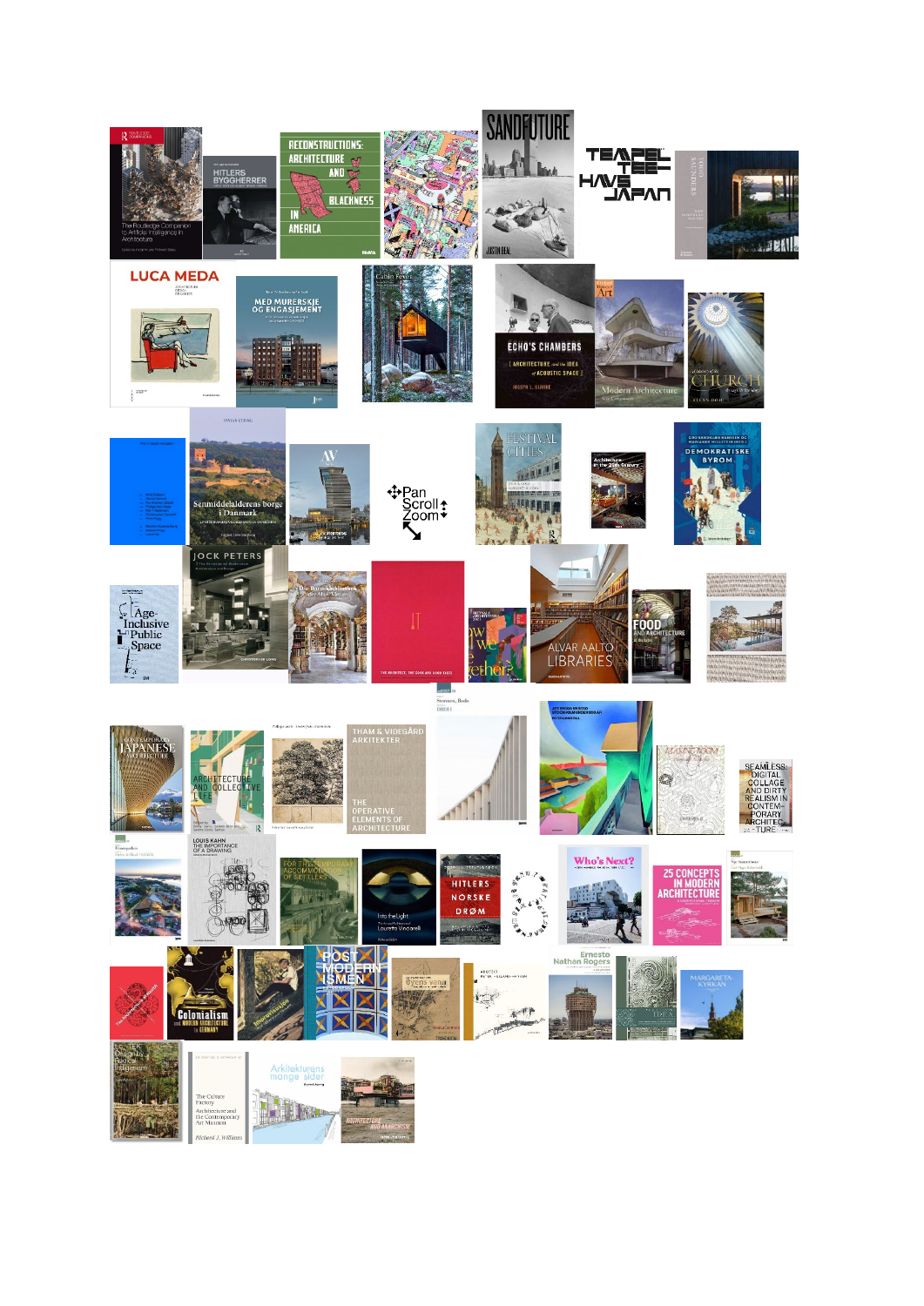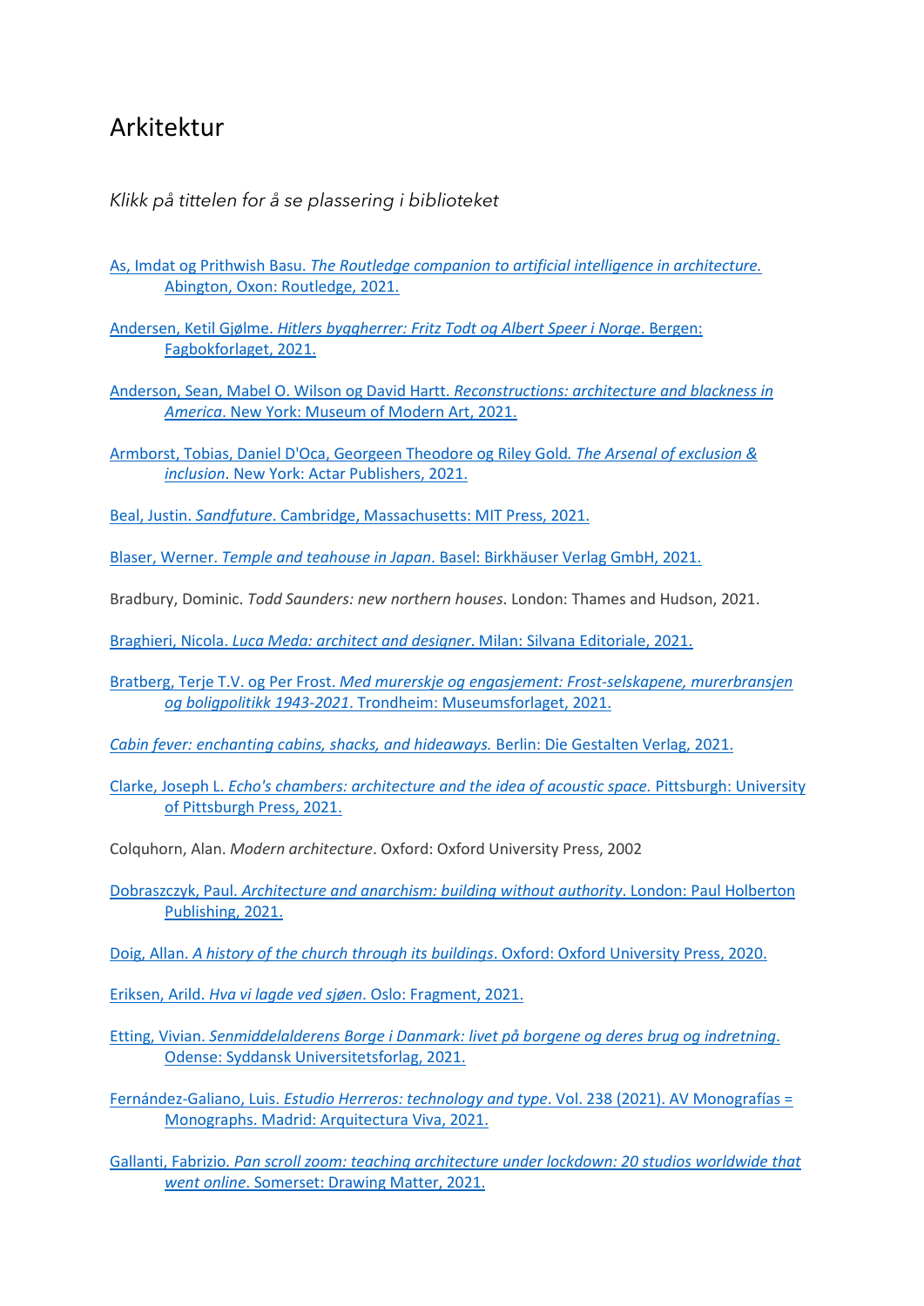## Arkitektur

## *Klikk på tittelen for å se plassering i biblioteket*

- As, Imdat og Prithwish Basu. *[The Routledge companion to artificial intelligence in architecture.](https://bibsys-almaprimo.hosted.exlibrisgroup.com/permalink/f/1n8chvd/BIBSYS_ILS71639577920002201)* [Abington, Oxon: Routledge, 2021.](https://bibsys-almaprimo.hosted.exlibrisgroup.com/permalink/f/1n8chvd/BIBSYS_ILS71639577920002201)
- Andersen, Ketil Gjølme. *[Hitlers byggherrer: Fritz Todt og Albert Speer i Norge](https://bibsys-almaprimo.hosted.exlibrisgroup.com/permalink/f/1n8chvd/BIBSYS_ILS71609031470002201)*. Bergen: [Fagbokforlaget, 2021.](https://bibsys-almaprimo.hosted.exlibrisgroup.com/permalink/f/1n8chvd/BIBSYS_ILS71609031470002201)
- [Anderson, Sean, Mabel O. Wilson og David Hartt.](https://bibsys-almaprimo.hosted.exlibrisgroup.com/permalink/f/1n8chvd/BIBSYS_ILS71639592950002201) *Reconstructions: architecture and blackness in America*[. New York: Museum of Modern Art, 2021.](https://bibsys-almaprimo.hosted.exlibrisgroup.com/permalink/f/1n8chvd/BIBSYS_ILS71639592950002201)
- [Armborst, Tobias, Daniel D'Oca, Georgeen Theodore](https://bibsys-almaprimo.hosted.exlibrisgroup.com/permalink/f/17b6085/BIBSYS_ILS71640573990002201) og Riley Gold*. The Arsenal of exclusion & inclusion*[. New York: Actar Publishers, 2021.](https://bibsys-almaprimo.hosted.exlibrisgroup.com/permalink/f/17b6085/BIBSYS_ILS71640573990002201)

Beal, Justin. *Sandfuture*[. Cambridge, Massachusetts: MIT Press, 2021.](https://bibsys-almaprimo.hosted.exlibrisgroup.com/permalink/f/1n8chvd/BIBSYS_ILS71638762780002201)

Blaser, Werner. *Temple and teahouse in Japan*[. Basel: Birkhäuser Verlag GmbH, 2021.](https://bibsys-almaprimo.hosted.exlibrisgroup.com/permalink/f/1n8chvd/BIBSYS_ILS71639462750002201)

Bradbury, Dominic. *Todd Saunders: new northern houses*. London: Thames and Hudson, 2021.

Braghieri, Nicola. *[Luca Meda: architect and designer](https://bibsys-almaprimo.hosted.exlibrisgroup.com/permalink/f/1n8chvd/BIBSYS_ILS71640362270002201)*. Milan: Silvana Editoriale, 2021.

Bratberg, Terje T.V. og Per Frost. *[Med murerskje og engasjement: Frost-selskapene, murerbransjen](https://bibsys-almaprimo.hosted.exlibrisgroup.com/permalink/f/1n8chvd/BIBSYS_ILS71608030780002201)  og boligpolitikk 1943-2021*[. Trondheim: Museumsforlaget, 2021.](https://bibsys-almaprimo.hosted.exlibrisgroup.com/permalink/f/1n8chvd/BIBSYS_ILS71608030780002201)

*[Cabin fever: enchanting cabins, shacks, and hideaways.](https://bibsys-almaprimo.hosted.exlibrisgroup.com/permalink/f/1n8chvd/BIBSYS_ILS71639742370002201)* Berlin: Die Gestalten Verlag, 2021.

Clarke, Joseph L. *[Echo's chambers: architecture and the idea of acoustic space.](https://bibsys-almaprimo.hosted.exlibrisgroup.com/permalink/f/1n8chvd/BIBSYS_ILS71639262380002201)* Pittsburgh: University [of Pittsburgh Press, 2021.](https://bibsys-almaprimo.hosted.exlibrisgroup.com/permalink/f/1n8chvd/BIBSYS_ILS71639262380002201)

Colquhorn, Alan. *Modern architecture*. Oxford: Oxford University Press, 2002

Dobraszczyk, Paul. *[Architecture and anarchism: building without authority](https://bibsys-almaprimo.hosted.exlibrisgroup.com/permalink/f/1n8chvd/BIBSYS_ILS71642029050002201)*. London: Paul Holberton [Publishing, 2021.](https://bibsys-almaprimo.hosted.exlibrisgroup.com/permalink/f/1n8chvd/BIBSYS_ILS71642029050002201)

Doig, Allan. *[A history of the church through its buildings](https://bibsys-almaprimo.hosted.exlibrisgroup.com/permalink/f/17b6085/BIBSYS_ILS71640340310002201)*. Oxford: Oxford University Press, 2020.

Eriksen, Arild. *Hva vi lagde ved sjøen*[. Oslo: Fragment, 2021.](https://bibsys-almaprimo.hosted.exlibrisgroup.com/permalink/f/1n8chvd/BIBSYS_ILS71639242070002201)

Etting, Vivian. *[Senmiddelalderens Borge i Danmark: livet på](https://bibsys-almaprimo.hosted.exlibrisgroup.com/permalink/f/1n8chvd/BIBSYS_ILS71633649130002201) borgene og deres brug og indretning*. [Odense: Syddansk Universitetsforlag, 2021.](https://bibsys-almaprimo.hosted.exlibrisgroup.com/permalink/f/1n8chvd/BIBSYS_ILS71633649130002201)

Fernández-Galiano, Luis. *[Estudio Herreros: technology and type](https://bibsys-almaprimo.hosted.exlibrisgroup.com/permalink/f/1n8chvd/BIBSYS_ILS71639092000002201)*. Vol. 238 (2021). AV Monografías = [Monographs. Madrid: Arquitectura Viva, 2021.](https://bibsys-almaprimo.hosted.exlibrisgroup.com/permalink/f/1n8chvd/BIBSYS_ILS71639092000002201)

Gallanti, Fabrizio*[. Pan scroll zoom: teaching architecture under lockdown: 20 studios worldwide that](https://bibsys-almaprimo.hosted.exlibrisgroup.com/permalink/f/1n8chvd/BIBSYS_ILS71640445040002201)  went online*[. Somerset: Drawing Matter, 2021.](https://bibsys-almaprimo.hosted.exlibrisgroup.com/permalink/f/1n8chvd/BIBSYS_ILS71640445040002201)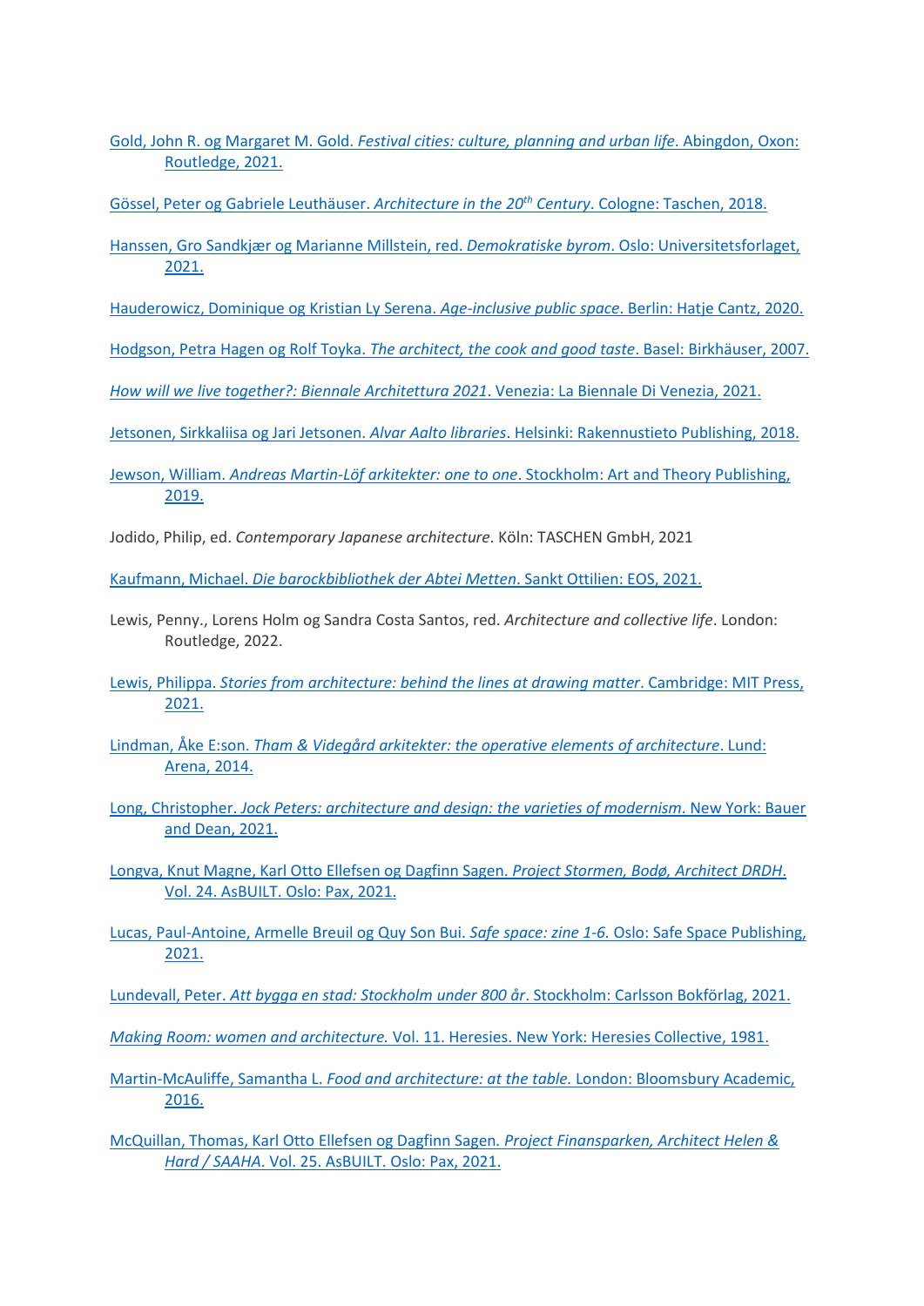Gold, John R. og Margaret M. Gold. *[Festival cities: culture, planning and urban life](https://bibsys-almaprimo.hosted.exlibrisgroup.com/permalink/f/17b6085/BIBSYS_ILS71640039130002201)*. Abingdon, Oxon: [Routledge, 2021.](https://bibsys-almaprimo.hosted.exlibrisgroup.com/permalink/f/17b6085/BIBSYS_ILS71640039130002201)

[Gössel, Peter og Gabriele Leuthäuser.](https://bibsys-almaprimo.hosted.exlibrisgroup.com/permalink/f/1n8chvd/BIBSYS_ILS71640351210002201) *Architecture in the 20th Century*. Cologne: Taschen, 2018.

Hanssen, Gro Sandkjær og Marianne Millstein, red. *Demokratiske byrom*[. Oslo: Universitetsforlaget,](https://bibsys-almaprimo.hosted.exlibrisgroup.com/permalink/f/1n8chvd/BIBSYS_ILS71589946610002201)  [2021.](https://bibsys-almaprimo.hosted.exlibrisgroup.com/permalink/f/1n8chvd/BIBSYS_ILS71589946610002201)

[Hauderowicz, Dominique og Kristian Ly Serena.](https://bibsys-almaprimo.hosted.exlibrisgroup.com/permalink/f/1n8chvd/BIBSYS_ILS71602892550002201) *Age-inclusive public space*. Berlin: Hatje Cantz, 2020.

Hodgson, Petra Hagen og Rolf Toyka. *[The architect, the cook and good taste](https://bibsys-almaprimo.hosted.exlibrisgroup.com/permalink/f/1n8chvd/BIBSYS_ILS71468497210002201)*. Basel: Birkhäuser, 2007.

*[How will we live together?: Biennale Architettura 2021](https://bibsys-almaprimo.hosted.exlibrisgroup.com/permalink/f/1n8chvd/BIBSYS_ILS71640181980002201)*. Venezia: La Biennale Di Venezia, 2021.

Jetsonen, Sirkkaliisa og Jari Jetsonen. *Alvar Aalto libraries*[. Helsinki: Rakennustieto Publishing, 2018.](https://bibsys-almaprimo.hosted.exlibrisgroup.com/permalink/f/1n8chvd/BIBSYS_ILS71639702380002201)

Jewson, William. *[Andreas Martin-Löf arkitekter: one to one](https://bibsys-almaprimo.hosted.exlibrisgroup.com/permalink/f/1n8chvd/BIBSYS_ILS71639282780002201)*. Stockholm: Art and Theory Publishing, [2019.](https://bibsys-almaprimo.hosted.exlibrisgroup.com/permalink/f/1n8chvd/BIBSYS_ILS71639282780002201)

Jodido, Philip, ed. *Contemporary Japanese architecture*. Köln: TASCHEN GmbH, 2021

Kaufmann, Michael. *[Die barockbibliothek der Abtei Metten](https://bibsys-almaprimo.hosted.exlibrisgroup.com/permalink/f/1n8chvd/BIBSYS_ILS71639577450002201)*. Sankt Ottilien: EOS, 2021.

Lewis, Penny., Lorens Holm og Sandra Costa Santos, red. *Architecture and collective life*. London: Routledge, 2022.

Lewis, Philippa. *[Stories from architecture: behind the lines at drawing matter](https://bibsys-almaprimo.hosted.exlibrisgroup.com/permalink/f/1n8chvd/BIBSYS_ILS71640340450002201)*. Cambridge: MIT Press, [2021.](https://bibsys-almaprimo.hosted.exlibrisgroup.com/permalink/f/1n8chvd/BIBSYS_ILS71640340450002201)

Lindman, Åke E:son. *[Tham & Videgård arkitekter: the operative elements of architecture](https://bibsys-almaprimo.hosted.exlibrisgroup.com/permalink/f/1n8chvd/BIBSYS_ILS71639485350002201)*. Lund: [Arena, 2014.](https://bibsys-almaprimo.hosted.exlibrisgroup.com/permalink/f/1n8chvd/BIBSYS_ILS71639485350002201)

Long, Christopher. *[Jock Peters: architecture and design: the varieties of modernism](https://bibsys-almaprimo.hosted.exlibrisgroup.com/permalink/f/1n8chvd/BIBSYS_ILS71639742310002201)*. New York: Bauer [and Dean, 2021.](https://bibsys-almaprimo.hosted.exlibrisgroup.com/permalink/f/1n8chvd/BIBSYS_ILS71639742310002201)

[Longva, Knut Magne, Karl Otto Ellefsen](https://bibsys-almaprimo.hosted.exlibrisgroup.com/permalink/f/1n8chvd/BIBSYS_ILS71638414380002201) og Dagfinn Sagen. *Project Stormen, Bodø, Architect DRDH*. [Vol. 24. AsBUILT. Oslo: Pax, 2021.](https://bibsys-almaprimo.hosted.exlibrisgroup.com/permalink/f/1n8chvd/BIBSYS_ILS71638414380002201)

[Lucas, Paul-Antoine, Armelle Breuil](https://bibsys-almaprimo.hosted.exlibrisgroup.com/permalink/f/1n8chvd/BIBSYS_ILS71639313010002201) og Quy Son Bui. *Safe space: zine 1-6.* Oslo: Safe Space Publishing, [2021.](https://bibsys-almaprimo.hosted.exlibrisgroup.com/permalink/f/1n8chvd/BIBSYS_ILS71639313010002201)

Lundevall, Peter. *[Att bygga en stad: Stockholm under 800 år](https://bibsys-almaprimo.hosted.exlibrisgroup.com/permalink/f/1n8chvd/BIBSYS_ILS71640039160002201)*. Stockholm: Carlsson Bokförlag, 2021.

*Making Room: women and architecture.* [Vol. 11. Heresies. New York: Heresies Collective, 1981.](https://bibsys-almaprimo.hosted.exlibrisgroup.com/permalink/f/1n8chvd/BIBSYS_ILS71640433140002201)

Martin-McAuliffe, Samantha L. *[Food and architecture: at the table.](https://bibsys-almaprimo.hosted.exlibrisgroup.com/permalink/f/17b6085/BIBSYS_ILS71543299170002201)* London: Bloomsbury Academic, [2016.](https://bibsys-almaprimo.hosted.exlibrisgroup.com/permalink/f/17b6085/BIBSYS_ILS71543299170002201)

[McQuillan, Thomas, Karl Otto Ellefsen og Dagfinn Sagen](https://bibsys-almaprimo.hosted.exlibrisgroup.com/permalink/f/1n8chvd/BIBSYS_ILS71638414360002201)*. Project Finansparken, Architect Helen & Hard / SAAHA*[. Vol. 25. AsBUILT. Oslo: Pax, 2021.](https://bibsys-almaprimo.hosted.exlibrisgroup.com/permalink/f/1n8chvd/BIBSYS_ILS71638414360002201)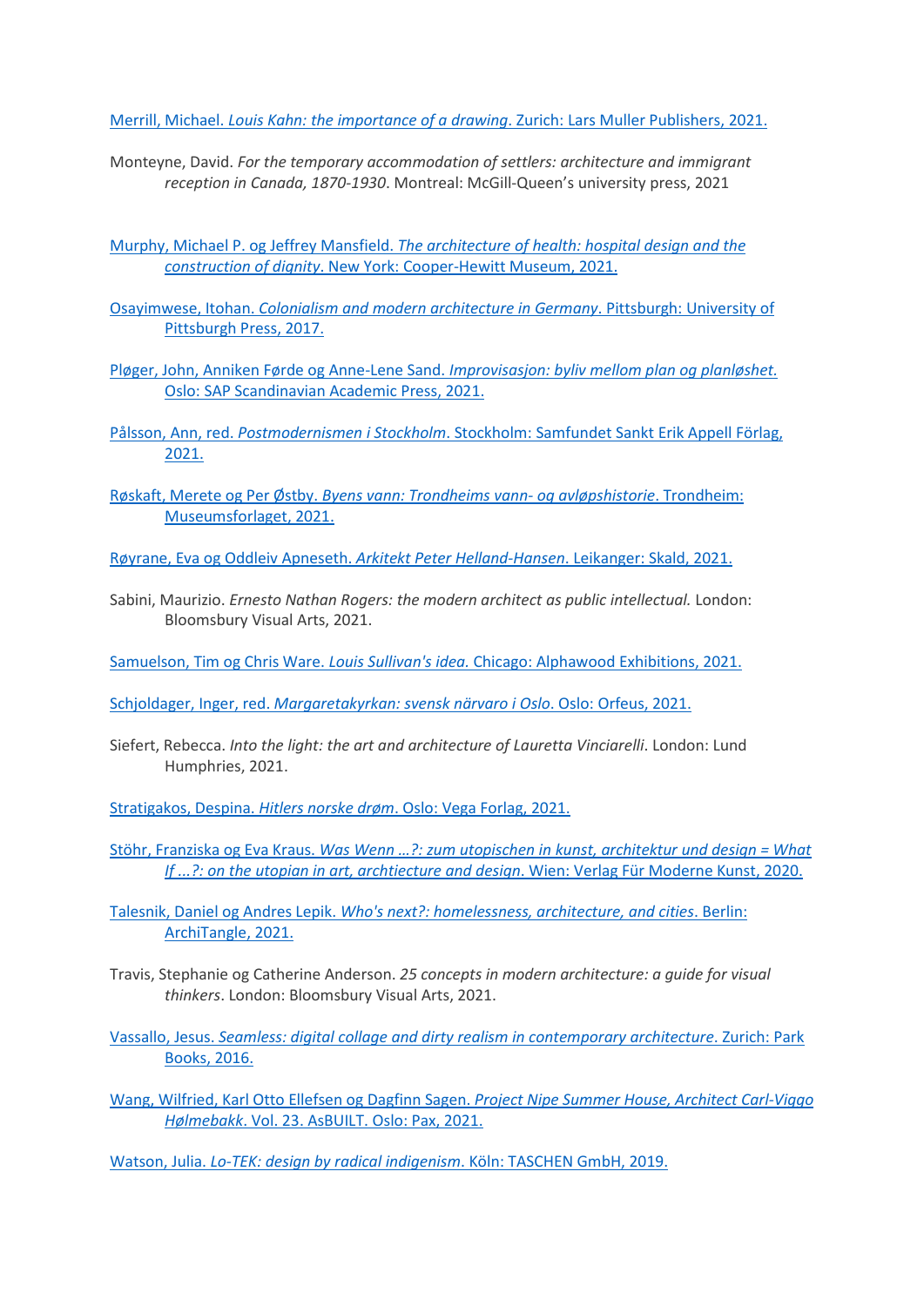Merrill, Michael. *[Louis Kahn: the importance of a drawing](https://bibsys-almaprimo.hosted.exlibrisgroup.com/permalink/f/1n8chvd/BIBSYS_ILS71639732370002201)*. Zurich: Lars Muller Publishers, 2021.

Monteyne, David. *For the temporary accommodation of settlers: architecture and immigrant reception in Canada, 1870-1930*. Montreal: McGill-Queen's university press, 2021

Murphy, Michael P. og Jeffrey Mansfield. *[The architecture of health: hospital design and the](https://bibsys-almaprimo.hosted.exlibrisgroup.com/permalink/f/1n8chvd/BIBSYS_ILS71639702360002201)  construction of dignity*[. New York: Cooper-Hewitt Museum, 2021.](https://bibsys-almaprimo.hosted.exlibrisgroup.com/permalink/f/1n8chvd/BIBSYS_ILS71639702360002201)

Osayimwese, Itohan. *[Colonialism and modern architecture in Germany](https://bibsys-almaprimo.hosted.exlibrisgroup.com/permalink/f/17b6085/BIBSYS_ILS71639292390002201)*. Pittsburgh: University of [Pittsburgh Press, 2017.](https://bibsys-almaprimo.hosted.exlibrisgroup.com/permalink/f/17b6085/BIBSYS_ILS71639292390002201)

Pløger, John, Anniken Førde og Anne-Lene Sand. *[Improvisasjon: byliv mellom plan og planløshet.](https://bibsys-almaprimo.hosted.exlibrisgroup.com/permalink/f/1n8chvd/BIBSYS_ILS71615196290002201)* [Oslo: SAP Scandinavian Academic Press, 2021.](https://bibsys-almaprimo.hosted.exlibrisgroup.com/permalink/f/1n8chvd/BIBSYS_ILS71615196290002201)

Pålsson, Ann, red. *Postmodernismen i Stockholm*[. Stockholm: Samfundet Sankt Erik Appell Förlag,](https://bibsys-almaprimo.hosted.exlibrisgroup.com/permalink/f/1n8chvd/BIBSYS_ILS71640192130002201)  [2021.](https://bibsys-almaprimo.hosted.exlibrisgroup.com/permalink/f/1n8chvd/BIBSYS_ILS71640192130002201)

Røskaft, Merete og Per Østby. *[Byens vann: Trondheims vann-](https://bibsys-almaprimo.hosted.exlibrisgroup.com/permalink/f/1n8chvd/BIBSYS_ILS71600594230002201) og avløpshistorie*. Trondheim: [Museumsforlaget, 2021.](https://bibsys-almaprimo.hosted.exlibrisgroup.com/permalink/f/1n8chvd/BIBSYS_ILS71600594230002201)

[Røyrane, Eva og Oddleiv Apneseth.](https://bibsys-almaprimo.hosted.exlibrisgroup.com/permalink/f/1n8chvd/BIBSYS_ILS71613719310002201) *Arkitekt Peter Helland-Hansen*. Leikanger: Skald, 2021.

Sabini, Maurizio. *Ernesto Nathan Rogers: the modern architect as public intellectual.* London: Bloomsbury Visual Arts, 2021.

Samuelson, Tim og Chris Ware. *Louis Sullivan's idea.* [Chicago: Alphawood Exhibitions, 2021.](https://bibsys-almaprimo.hosted.exlibrisgroup.com/permalink/f/1n8chvd/BIBSYS_ILS71640272220002201)

Schjoldager, Inger, red. *Margaretakyrkan: svensk närvaro i Oslo*. Oslo: Orfeus, 2021.

Siefert, Rebecca. *Into the light: the art and architecture of Lauretta Vinciarelli*. London: Lund Humphries, 2021.

Stratigakos, Despina. *Hitlers norske drøm*[. Oslo: Vega Forlag, 2021.](https://bibsys-almaprimo.hosted.exlibrisgroup.com/permalink/f/17b6085/BIBSYS_ILS71606738870002201)

Stöhr, Franziska og Eva Kraus. *Was Wenn …?: [zum utopischen in kunst, architektur und design = What](https://bibsys-almaprimo.hosted.exlibrisgroup.com/permalink/f/1n8chvd/BIBSYS_ILS71641092180002201)  If ...?: [on the utopian in art, archtiecture and design](https://bibsys-almaprimo.hosted.exlibrisgroup.com/permalink/f/1n8chvd/BIBSYS_ILS71641092180002201)*. Wien: Verlag Für Moderne Kunst, 2020.

Talesnik, Daniel og Andres Lepik. *[Who's next?: homelessness, architecture,](https://bibsys-almaprimo.hosted.exlibrisgroup.com/permalink/f/1n8chvd/BIBSYS_ILS71639422870002201) and cities*. Berlin: [ArchiTangle, 2021.](https://bibsys-almaprimo.hosted.exlibrisgroup.com/permalink/f/1n8chvd/BIBSYS_ILS71639422870002201)

Travis, Stephanie og Catherine Anderson. *25 concepts in modern architecture: a guide for visual thinkers*. London: Bloomsbury Visual Arts, 2021.

Vassallo, Jesus. *[Seamless: digital collage and dirty realism in contemporary architecture](https://bibsys-almaprimo.hosted.exlibrisgroup.com/permalink/f/1n8chvd/BIBSYS_ILS71542845140002201)*. Zurich: Park [Books, 2016.](https://bibsys-almaprimo.hosted.exlibrisgroup.com/permalink/f/1n8chvd/BIBSYS_ILS71542845140002201)

[Wang, Wilfried, Karl Otto Ellefsen og Dagfinn Sagen.](https://bibsys-almaprimo.hosted.exlibrisgroup.com/permalink/f/1n8chvd/BIBSYS_ILS71638414340002201) *Project Nipe Summer House, Architect Carl-Viggo Hølmebakk*[. Vol. 23. AsBUILT. Oslo: Pax, 2021.](https://bibsys-almaprimo.hosted.exlibrisgroup.com/permalink/f/1n8chvd/BIBSYS_ILS71638414340002201)

Watson, Julia. *[Lo-TEK: design by radical indigenism](https://bibsys-almaprimo.hosted.exlibrisgroup.com/permalink/f/1n8chvd/BIBSYS_ILS71586869670002201)*. Köln: TASCHEN GmbH, 2019.